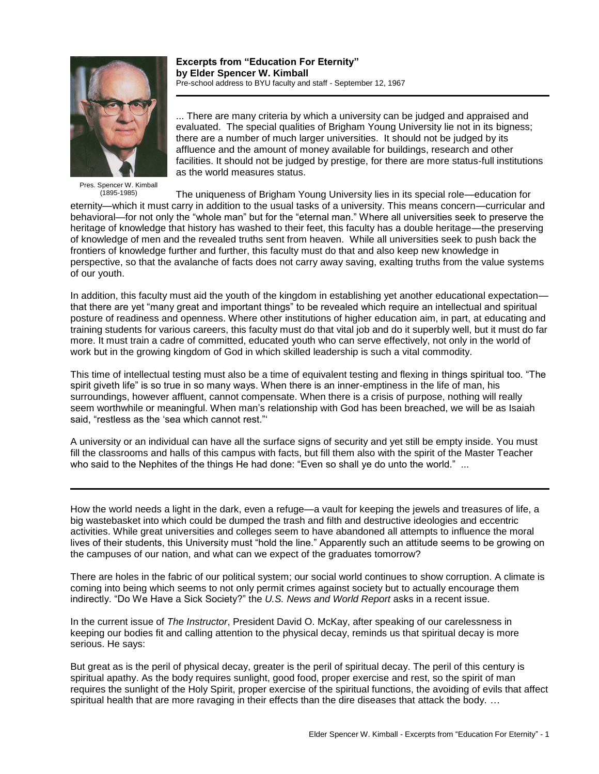

Pres. Spencer W. Kimball (1895-1985)

**Excerpts from "Education For Eternity" by Elder Spencer W. Kimball** Pre-school address to BYU faculty and staff - September 12, 1967

... There are many criteria by which a university can be judged and appraised and evaluated. The special qualities of Brigham Young University lie not in its bigness; there are a number of much larger universities. It should not be judged by its affluence and the amount of money available for buildings, research and other facilities. It should not be judged by prestige, for there are more status-full institutions as the world measures status.

The uniqueness of Brigham Young University lies in its special role—education for eternity—which it must carry in addition to the usual tasks of a university. This means concern—curricular and behavioral—for not only the "whole man" but for the "eternal man." Where all universities seek to preserve the heritage of knowledge that history has washed to their feet, this faculty has a double heritage—the preserving of knowledge of men and the revealed truths sent from heaven. While all universities seek to push back the frontiers of knowledge further and further, this faculty must do that and also keep new knowledge in perspective, so that the avalanche of facts does not carry away saving, exalting truths from the value systems of our youth.

In addition, this faculty must aid the youth of the kingdom in establishing yet another educational expectation that there are yet "many great and important things" to be revealed which require an intellectual and spiritual posture of readiness and openness. Where other institutions of higher education aim, in part, at educating and training students for various careers, this faculty must do that vital job and do it superbly well, but it must do far more. It must train a cadre of committed, educated youth who can serve effectively, not only in the world of work but in the growing kingdom of God in which skilled leadership is such a vital commodity.

This time of intellectual testing must also be a time of equivalent testing and flexing in things spiritual too. "The spirit giveth life" is so true in so many ways. When there is an inner-emptiness in the life of man, his surroundings, however affluent, cannot compensate. When there is a crisis of purpose, nothing will really seem worthwhile or meaningful. When man's relationship with God has been breached, we will be as Isaiah said, "restless as the 'sea which cannot rest."'

A university or an individual can have all the surface signs of security and yet still be empty inside. You must fill the classrooms and halls of this campus with facts, but fill them also with the spirit of the Master Teacher who said to the Nephites of the things He had done: "Even so shall ye do unto the world." ...

How the world needs a light in the dark, even a refuge—a vault for keeping the jewels and treasures of life, a big wastebasket into which could be dumped the trash and filth and destructive ideologies and eccentric activities. While great universities and colleges seem to have abandoned all attempts to influence the moral lives of their students, this University must "hold the line." Apparently such an attitude seems to be growing on the campuses of our nation, and what can we expect of the graduates tomorrow?

There are holes in the fabric of our political system; our social world continues to show corruption. A climate is coming into being which seems to not only permit crimes against society but to actually encourage them indirectly. "Do We Have a Sick Society?" the *U.S. News and World Report* asks in a recent issue.

In the current issue of *The Instructor*, President David O. McKay, after speaking of our carelessness in keeping our bodies fit and calling attention to the physical decay, reminds us that spiritual decay is more serious. He says:

But great as is the peril of physical decay, greater is the peril of spiritual decay. The peril of this century is spiritual apathy. As the body requires sunlight, good food, proper exercise and rest, so the spirit of man requires the sunlight of the Holy Spirit, proper exercise of the spiritual functions, the avoiding of evils that affect spiritual health that are more ravaging in their effects than the dire diseases that attack the body. ...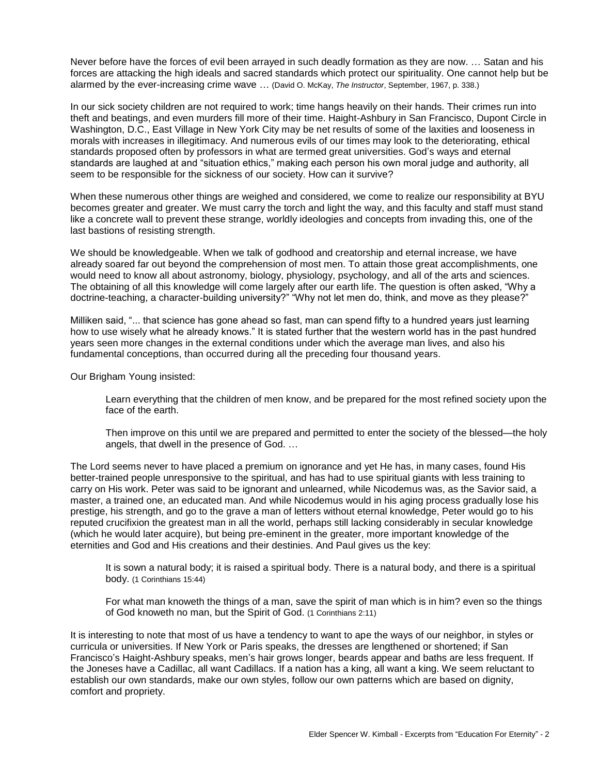Never before have the forces of evil been arrayed in such deadly formation as they are now. … Satan and his forces are attacking the high ideals and sacred standards which protect our spirituality. One cannot help but be alarmed by the ever-increasing crime wave … (David O. McKay, *The Instructor*, September, 1967, p. 338.)

In our sick society children are not required to work; time hangs heavily on their hands. Their crimes run into theft and beatings, and even murders fill more of their time. Haight-Ashbury in San Francisco, Dupont Circle in Washington, D.C., East Village in New York City may be net results of some of the laxities and looseness in morals with increases in illegitimacy. And numerous evils of our times may look to the deteriorating, ethical standards proposed often by professors in what are termed great universities. God's ways and eternal standards are laughed at and "situation ethics," making each person his own moral judge and authority, all seem to be responsible for the sickness of our society. How can it survive?

When these numerous other things are weighed and considered, we come to realize our responsibility at BYU becomes greater and greater. We must carry the torch and light the way, and this faculty and staff must stand like a concrete wall to prevent these strange, worldly ideologies and concepts from invading this, one of the last bastions of resisting strength.

We should be knowledgeable. When we talk of godhood and creatorship and eternal increase, we have already soared far out beyond the comprehension of most men. To attain those great accomplishments, one would need to know all about astronomy, biology, physiology, psychology, and all of the arts and sciences. The obtaining of all this knowledge will come largely after our earth life. The question is often asked, "Why a doctrine-teaching, a character-building university?" "Why not let men do, think, and move as they please?"

Milliken said, "... that science has gone ahead so fast, man can spend fifty to a hundred years just learning how to use wisely what he already knows." It is stated further that the western world has in the past hundred years seen more changes in the external conditions under which the average man lives, and also his fundamental conceptions, than occurred during all the preceding four thousand years.

Our Brigham Young insisted:

Learn everything that the children of men know, and be prepared for the most refined society upon the face of the earth.

Then improve on this until we are prepared and permitted to enter the society of the blessed—the holy angels, that dwell in the presence of God. …

The Lord seems never to have placed a premium on ignorance and yet He has, in many cases, found His better-trained people unresponsive to the spiritual, and has had to use spiritual giants with less training to carry on His work. Peter was said to be ignorant and unlearned, while Nicodemus was, as the Savior said, a master, a trained one, an educated man. And while Nicodemus would in his aging process gradually lose his prestige, his strength, and go to the grave a man of letters without eternal knowledge, Peter would go to his reputed crucifixion the greatest man in all the world, perhaps still lacking considerably in secular knowledge (which he would later acquire), but being pre-eminent in the greater, more important knowledge of the eternities and God and His creations and their destinies. And Paul gives us the key:

It is sown a natural body; it is raised a spiritual body. There is a natural body, and there is a spiritual body. (1 Corinthians 15:44)

For what man knoweth the things of a man, save the spirit of man which is in him? even so the things of God knoweth no man, but the Spirit of God. (1 Corinthians 2:11)

It is interesting to note that most of us have a tendency to want to ape the ways of our neighbor, in styles or curricula or universities. If New York or Paris speaks, the dresses are lengthened or shortened; if San Francisco's Haight-Ashbury speaks, men's hair grows longer, beards appear and baths are less frequent. If the Joneses have a Cadillac, all want Cadillacs. If a nation has a king, all want a king. We seem reluctant to establish our own standards, make our own styles, follow our own patterns which are based on dignity, comfort and propriety.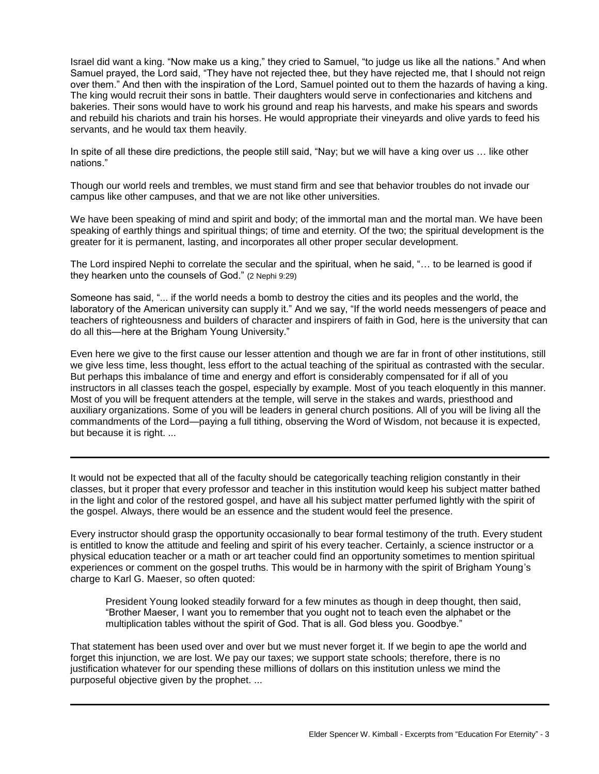Israel did want a king. "Now make us a king," they cried to Samuel, "to judge us like all the nations." And when Samuel prayed, the Lord said, "They have not rejected thee, but they have rejected me, that I should not reign over them." And then with the inspiration of the Lord, Samuel pointed out to them the hazards of having a king. The king would recruit their sons in battle. Their daughters would serve in confectionaries and kitchens and bakeries. Their sons would have to work his ground and reap his harvests, and make his spears and swords and rebuild his chariots and train his horses. He would appropriate their vineyards and olive yards to feed his servants, and he would tax them heavily.

In spite of all these dire predictions, the people still said, "Nay; but we will have a king over us … like other nations."

Though our world reels and trembles, we must stand firm and see that behavior troubles do not invade our campus like other campuses, and that we are not like other universities.

We have been speaking of mind and spirit and body; of the immortal man and the mortal man. We have been speaking of earthly things and spiritual things; of time and eternity. Of the two; the spiritual development is the greater for it is permanent, lasting, and incorporates all other proper secular development.

The Lord inspired Nephi to correlate the secular and the spiritual, when he said, "… to be learned is good if they hearken unto the counsels of God." (2 Nephi 9:29)

Someone has said, "... if the world needs a bomb to destroy the cities and its peoples and the world, the laboratory of the American university can supply it." And we say, "If the world needs messengers of peace and teachers of righteousness and builders of character and inspirers of faith in God, here is the university that can do all this—here at the Brigham Young University."

Even here we give to the first cause our lesser attention and though we are far in front of other institutions, still we give less time, less thought, less effort to the actual teaching of the spiritual as contrasted with the secular. But perhaps this imbalance of time and energy and effort is considerably compensated for if all of you instructors in all classes teach the gospel, especially by example. Most of you teach eloquently in this manner. Most of you will be frequent attenders at the temple, will serve in the stakes and wards, priesthood and auxiliary organizations. Some of you will be leaders in general church positions. All of you will be living all the commandments of the Lord—paying a full tithing, observing the Word of Wisdom, not because it is expected, but because it is right. ...

It would not be expected that all of the faculty should be categorically teaching religion constantly in their classes, but it proper that every professor and teacher in this institution would keep his subject matter bathed in the light and color of the restored gospel, and have all his subject matter perfumed lightly with the spirit of the gospel. Always, there would be an essence and the student would feel the presence.

Every instructor should grasp the opportunity occasionally to bear formal testimony of the truth. Every student is entitled to know the attitude and feeling and spirit of his every teacher. Certainly, a science instructor or a physical education teacher or a math or art teacher could find an opportunity sometimes to mention spiritual experiences or comment on the gospel truths. This would be in harmony with the spirit of Brigham Young's charge to Karl G. Maeser, so often quoted:

President Young looked steadily forward for a few minutes as though in deep thought, then said, "Brother Maeser, I want you to remember that you ought not to teach even the alphabet or the multiplication tables without the spirit of God. That is all. God bless you. Goodbye."

That statement has been used over and over but we must never forget it. If we begin to ape the world and forget this injunction, we are lost. We pay our taxes; we support state schools; therefore, there is no justification whatever for our spending these millions of dollars on this institution unless we mind the purposeful objective given by the prophet. ...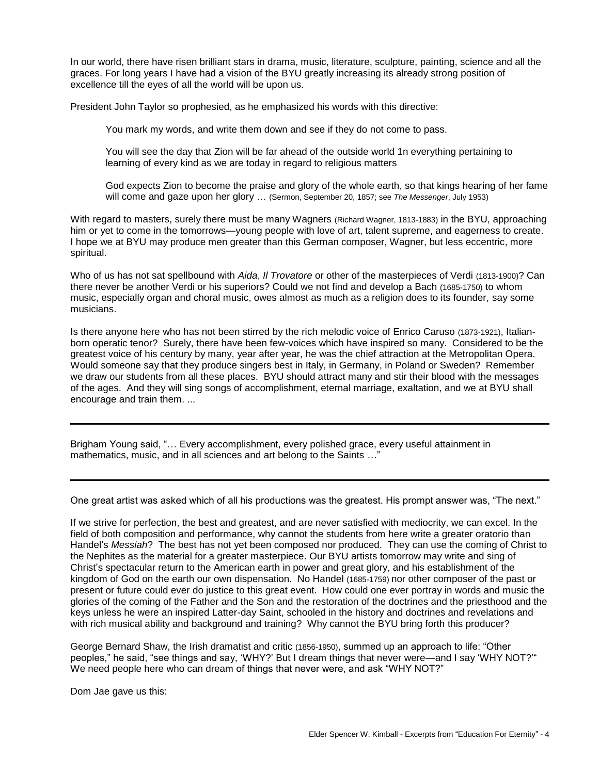In our world, there have risen brilliant stars in drama, music, literature, sculpture, painting, science and all the graces. For long years I have had a vision of the BYU greatly increasing its already strong position of excellence till the eyes of all the world will be upon us.

President John Taylor so prophesied, as he emphasized his words with this directive:

You mark my words, and write them down and see if they do not come to pass.

You will see the day that Zion will be far ahead of the outside world 1n everything pertaining to learning of every kind as we are today in regard to religious matters

God expects Zion to become the praise and glory of the whole earth, so that kings hearing of her fame will come and gaze upon her glory … (Sermon, September 20, 1857; see *The Messenger*, July 1953)

With regard to masters, surely there must be many Wagners (Richard Wagner, 1813-1883) in the BYU, approaching him or yet to come in the tomorrows—young people with love of art, talent supreme, and eagerness to create. I hope we at BYU may produce men greater than this German composer, Wagner, but less eccentric, more spiritual.

Who of us has not sat spellbound with *Aida*, *Il Trovatore* or other of the masterpieces of Verdi (1813-1900)? Can there never be another Verdi or his superiors? Could we not find and develop a Bach (1685-1750) to whom music, especially organ and choral music, owes almost as much as a religion does to its founder, say some musicians.

Is there anyone here who has not been stirred by the rich melodic voice of Enrico Caruso (1873-1921), Italianborn operatic tenor? Surely, there have been few-voices which have inspired so many. Considered to be the greatest voice of his century by many, year after year, he was the chief attraction at the Metropolitan Opera. Would someone say that they produce singers best in Italy, in Germany, in Poland or Sweden? Remember we draw our students from all these places. BYU should attract many and stir their blood with the messages of the ages. And they will sing songs of accomplishment, eternal marriage, exaltation, and we at BYU shall encourage and train them. ...

Brigham Young said, "… Every accomplishment, every polished grace, every useful attainment in mathematics, music, and in all sciences and art belong to the Saints ..."

One great artist was asked which of all his productions was the greatest. His prompt answer was, "The next."

If we strive for perfection, the best and greatest, and are never satisfied with mediocrity, we can excel. In the field of both composition and performance, why cannot the students from here write a greater oratorio than Handel's *Messiah*? The best has not yet been composed nor produced. They can use the coming of Christ to the Nephites as the material for a greater masterpiece. Our BYU artists tomorrow may write and sing of Christ's spectacular return to the American earth in power and great glory, and his establishment of the kingdom of God on the earth our own dispensation. No Handel (1685-1759) nor other composer of the past or present or future could ever do justice to this great event. How could one ever portray in words and music the glories of the coming of the Father and the Son and the restoration of the doctrines and the priesthood and the keys unless he were an inspired Latter-day Saint, schooled in the history and doctrines and revelations and with rich musical ability and background and training? Why cannot the BYU bring forth this producer?

George Bernard Shaw, the Irish dramatist and critic (1856-1950), summed up an approach to life: "Other peoples," he said, "see things and say, 'WHY?' But I dream things that never were—and I say 'WHY NOT?'" We need people here who can dream of things that never were, and ask "WHY NOT?"

Dom Jae gave us this: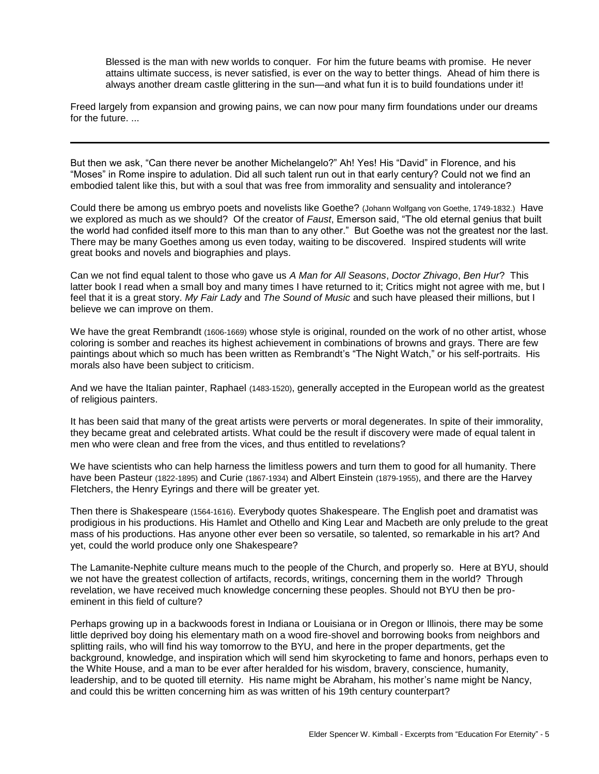Blessed is the man with new worlds to conquer. For him the future beams with promise. He never attains ultimate success, is never satisfied, is ever on the way to better things. Ahead of him there is always another dream castle glittering in the sun—and what fun it is to build foundations under it!

Freed largely from expansion and growing pains, we can now pour many firm foundations under our dreams for the future. ...

But then we ask, "Can there never be another Michelangelo?" Ah! Yes! His "David" in Florence, and his "Moses" in Rome inspire to adulation. Did all such talent run out in that early century? Could not we find an embodied talent like this, but with a soul that was free from immorality and sensuality and intolerance?

Could there be among us embryo poets and novelists like Goethe? (Johann Wolfgang von Goethe, 1749-1832.) Have we explored as much as we should? Of the creator of *Faust*, Emerson said, "The old eternal genius that built the world had confided itself more to this man than to any other." But Goethe was not the greatest nor the last. There may be many Goethes among us even today, waiting to be discovered. Inspired students will write great books and novels and biographies and plays.

Can we not find equal talent to those who gave us *A Man for All Seasons*, *Doctor Zhivago*, *Ben Hur*? This latter book I read when a small boy and many times I have returned to it; Critics might not agree with me, but I feel that it is a great story. *My Fair Lady* and *The Sound of Music* and such have pleased their millions, but I believe we can improve on them.

We have the great Rembrandt (1606-1669) whose style is original, rounded on the work of no other artist, whose coloring is somber and reaches its highest achievement in combinations of browns and grays. There are few paintings about which so much has been written as Rembrandt's "The Night Watch," or his self-portraits. His morals also have been subject to criticism.

And we have the Italian painter, Raphael (1483-1520), generally accepted in the European world as the greatest of religious painters.

It has been said that many of the great artists were perverts or moral degenerates. In spite of their immorality, they became great and celebrated artists. What could be the result if discovery were made of equal talent in men who were clean and free from the vices, and thus entitled to revelations?

We have scientists who can help harness the limitless powers and turn them to good for all humanity. There have been Pasteur (1822-1895) and Curie (1867-1934) and Albert Einstein (1879-1955), and there are the Harvey Fletchers, the Henry Eyrings and there will be greater yet.

Then there is Shakespeare (1564-1616). Everybody quotes Shakespeare. The English poet and dramatist was prodigious in his productions. His Hamlet and Othello and King Lear and Macbeth are only prelude to the great mass of his productions. Has anyone other ever been so versatile, so talented, so remarkable in his art? And yet, could the world produce only one Shakespeare?

The Lamanite-Nephite culture means much to the people of the Church, and properly so. Here at BYU, should we not have the greatest collection of artifacts, records, writings, concerning them in the world? Through revelation, we have received much knowledge concerning these peoples. Should not BYU then be proeminent in this field of culture?

Perhaps growing up in a backwoods forest in Indiana or Louisiana or in Oregon or Illinois, there may be some little deprived boy doing his elementary math on a wood fire-shovel and borrowing books from neighbors and splitting rails, who will find his way tomorrow to the BYU, and here in the proper departments, get the background, knowledge, and inspiration which will send him skyrocketing to fame and honors, perhaps even to the White House, and a man to be ever after heralded for his wisdom, bravery, conscience, humanity, leadership, and to be quoted till eternity. His name might be Abraham, his mother's name might be Nancy, and could this be written concerning him as was written of his 19th century counterpart?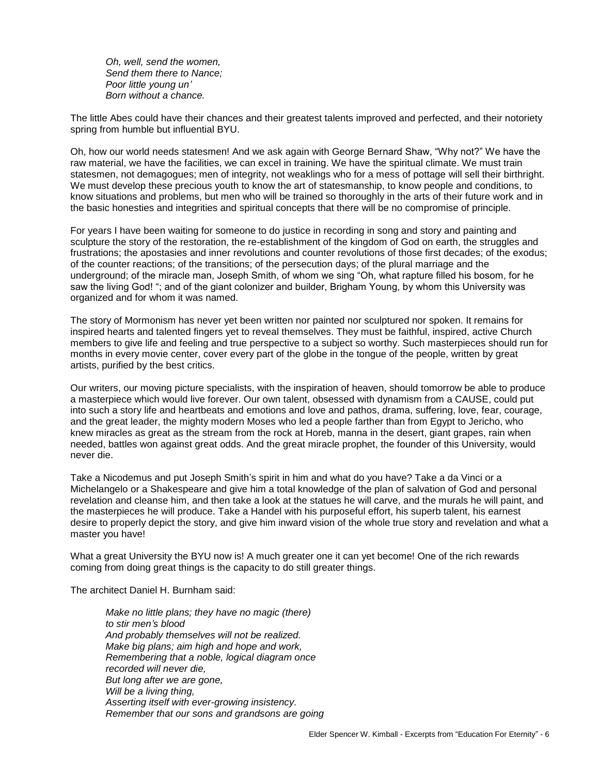*Oh, well, send the women, Send them there to Nance; Poor little young un' Born without a chance.*

The little Abes could have their chances and their greatest talents improved and perfected, and their notoriety spring from humble but influential BYU.

Oh, how our world needs statesmen! And we ask again with George Bernard Shaw, "Why not?" We have the raw material, we have the facilities, we can excel in training. We have the spiritual climate. We must train statesmen, not demagogues; men of integrity, not weaklings who for a mess of pottage will sell their birthright. We must develop these precious youth to know the art of statesmanship, to know people and conditions, to know situations and problems, but men who will be trained so thoroughly in the arts of their future work and in the basic honesties and integrities and spiritual concepts that there will be no compromise of principle.

For years I have been waiting for someone to do justice in recording in song and story and painting and sculpture the story of the restoration, the re-establishment of the kingdom of God on earth, the struggles and frustrations; the apostasies and inner revolutions and counter revolutions of those first decades; of the exodus; of the counter reactions; of the transitions; of the persecution days; of the plural marriage and the underground; of the miracle man, Joseph Smith, of whom we sing "Oh, what rapture filled his bosom, for he saw the living God! "; and of the giant colonizer and builder, Brigham Young, by whom this University was organized and for whom it was named.

The story of Mormonism has never yet been written nor painted nor sculptured nor spoken. It remains for inspired hearts and talented fingers yet to reveal themselves. They must be faithful, inspired, active Church members to give life and feeling and true perspective to a subject so worthy. Such masterpieces should run for months in every movie center, cover every part of the globe in the tongue of the people, written by great artists, purified by the best critics.

Our writers, our moving picture specialists, with the inspiration of heaven, should tomorrow be able to produce a masterpiece which would live forever. Our own talent, obsessed with dynamism from a CAUSE, could put into such a story life and heartbeats and emotions and love and pathos, drama, suffering, love, fear, courage, and the great leader, the mighty modern Moses who led a people farther than from Egypt to Jericho, who knew miracles as great as the stream from the rock at Horeb, manna in the desert, giant grapes, rain when needed, battles won against great odds. And the great miracle prophet, the founder of this University, would never die.

Take a Nicodemus and put Joseph Smith's spirit in him and what do you have? Take a da Vinci or a Michelangelo or a Shakespeare and give him a total knowledge of the plan of salvation of God and personal revelation and cleanse him, and then take a look at the statues he will carve, and the murals he will paint, and the masterpieces he will produce. Take a Handel with his purposeful effort, his superb talent, his earnest desire to properly depict the story, and give him inward vision of the whole true story and revelation and what a master you have!

What a great University the BYU now is! A much greater one it can yet become! One of the rich rewards coming from doing great things is the capacity to do still greater things.

The architect Daniel H. Burnham said:

*Make no little plans; they have no magic (there) to stir men's blood And probably themselves will not be realized. Make big plans; aim high and hope and work, Remembering that a noble, logical diagram once recorded will never die, But long after we are gone, Will be a living thing, Asserting itself with ever-growing insistency. Remember that our sons and grandsons are going*